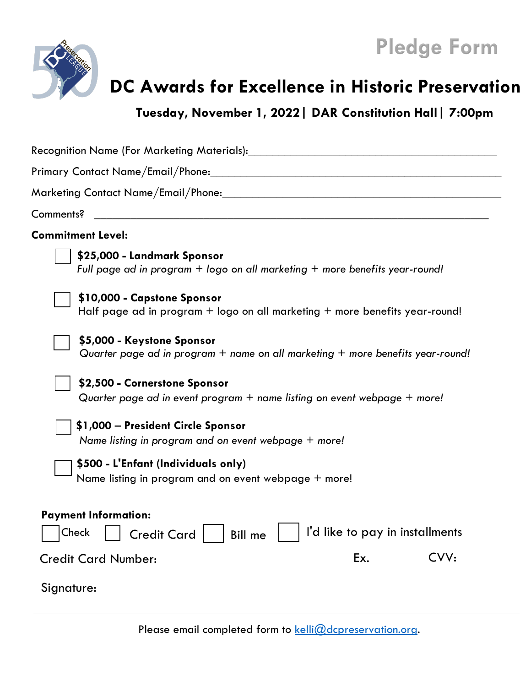

## **Pledge Form**

## **DC Awards for Excellence in Historic Preservation**

**Tuesday, November 1, 2022| DAR Constitution Hall| 7:00pm**

| Comments?<br><u> 1980 - Jan James James Jan James James James James James James James James James James James James James Jam</u>                                                                                                     |
|---------------------------------------------------------------------------------------------------------------------------------------------------------------------------------------------------------------------------------------|
| <b>Commitment Level:</b>                                                                                                                                                                                                              |
| \$25,000 - Landmark Sponsor<br>Full page ad in program $+$ logo on all marketing $+$ more benefits year-round!                                                                                                                        |
| \$10,000 - Capstone Sponsor<br>Half page ad in program $+$ logo on all marketing $+$ more benefits year-round!                                                                                                                        |
| \$5,000 - Keystone Sponsor<br>Quarter page ad in program + name on all marketing + more benefits year-round!                                                                                                                          |
| \$2,500 - Cornerstone Sponsor<br>Quarter page ad in event program $+$ name listing on event webpage $+$ more!                                                                                                                         |
| \$1,000 - President Circle Sponsor<br>Name listing in program and on event webpage + more!                                                                                                                                            |
| \$500 - L'Enfant (Individuals only)<br>Name listing in program and on event webpage + more!                                                                                                                                           |
| <b>Payment Information:</b><br>I'd like to pay in installments<br>$\left \begin{array}{ccc}\text{Check} & \begin{array}{ccc}\end{array}\end{array}\right $ Credit Card $\left \begin{array}{ccc}\end{array}\right $<br><b>Bill</b> me |
| CVV:<br>Ex.<br><b>Credit Card Number:</b>                                                                                                                                                                                             |
| Signature:                                                                                                                                                                                                                            |

Please email completed form to  $k$ elli $@$ dcpreservation.org.